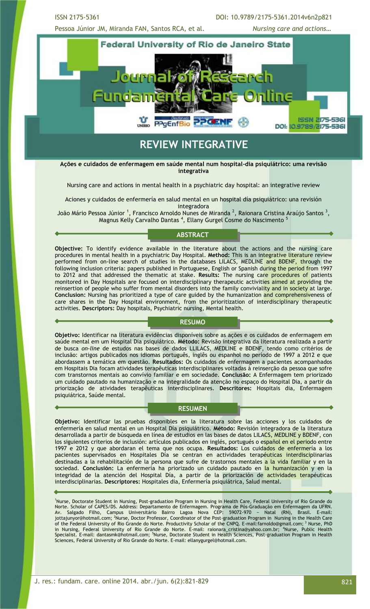ISSN 2175-5361 DOI: 10.9789/2175-5361.2014v6n2p821

Pessoa Júnior JM, Miranda FAN, Santos RCA, et al. *Nursing care and actions…*



## **REVIEW INTEGRATIVE**

**Ações e cuidados de enfermagem em saúde mental num hospital-dia psiquiátrico: uma revisão integrativa** 

Nursing care and actions in mental health in a psychiatric day hospital: an integrative review

Aciones y cuidados de enfermería en salud mental en un hospital día psiquiátrico: una revisión integradora

João Mário Pessoa Júnior <sup>1</sup>, Francisco Arnoldo Nunes de Miranda <sup>2</sup>, Raionara Cristina Araújo Santos <sup>3</sup>, Magnus Kelly Carvalho Dantas <sup>4</sup>, Ellany Gurgel Cosme do Nascimento <sup>5</sup>

#### **ABSTRACT**

**Objective:** To identify evidence available in the literature about the actions and the nursing care procedures in mental health in a psychiatric Day Hospital. **Method:** This is an integrative literature review performed from on-line search of studies in the databases LILACS, MEDLINE and BDENF, through the following inclusion criteria: papers published in Portuguese, English or Spanish during the period from 1997 to 2012 and that addressed the thematic at stake. **Results:** The nursing care procedures of patients monitored in Day Hospitals are focused on interdisciplinary therapeutic activities aimed at providing the reinsertion of people who suffer from mental disorders into the family conviviality and in society at large. **Conclusion:** Nursing has prioritized a type of care guided by the humanization and comprehensiveness of care shares in the Day Hospital environment, from the prioritization of interdisciplinary therapeutic activities. **Descriptors:** Day hospitals, Psychiatric nursing, Mental health.

#### **RESUMO**

**Objetivo:** Identificar na literatura evidências disponíveis sobre as ações e os cuidados de enfermagem em saúde mental em um Hospital Dia psiquiátrico. **Método:** Revisão integrativa da literatura realizada a partir de busca *on-line* de estudos nas bases de dados LLILACS, MEDLINE e BDENF, tendo como critérios de inclusão: artigos publicados nos idiomas português, inglês ou espanhol no período de 1997 a 2012 e que abordassem a temática em questão. **Resultados:** Os cuidados de enfermagem a pacientes acompanhados em Hospitais Dia focam atividades terapêuticas interdisciplinares voltadas à reinserção da pessoa que sofre com transtornos mentais ao convívio familiar e em sociedade. **Conclusão:** A Enfermagem tem priorizado um cuidado pautado na humanização e na integralidade da atenção no espaço do Hospital Dia, a partir da priorização de atividades terapêuticas interdisciplinares. **Descritores:** Hospitais dia, Enfermagem psiquiátrica, Saúde mental.

#### **RESUMEN**

**Objetivo:** Identificar las pruebas disponibles en la literatura sobre las acciones y los cuidados de enfermería en salud mental en un Hospital Día psiquiátrico. **Método:** Revisión integradora de la literatura desarrollada a partir de búsqueda en línea de estudios en las bases de datos LILACS, MEDLINE y BDENF, con los siguientes criterios de inclusión: artículos publicados en inglés, portugués o español en el periodo entre 1997 e 2012 y que abordaran el tema que nos ocupa. **Resultados:** Los cuidados de enfermería a los pacientes supervisados en Hospitales Día se centran en actividades terapéuticas interdisciplinarias destinadas a la rehabilitación de la persona que sufre de trastornos mentales a la vida familiar y en la sociedad. **Conclusión:** La enfermería ha priorizado un cuidado pautado en la humanización y en la integridad de la atención del Hospital Día, a partir de la priorización de actividades terapéuticas interdisciplinarias. **Descriptores:** Hospitales dia, Enfermería psiquiátrica, Salud mental.

<sup>1</sup>Nurse, Doctorate Student in Nursing, Post-graduation Program in Nursing in Health Care, Federal University of Rio Grande do Norte. Scholar of CAPES/DS. Address: Departamento de Enfermagem. Programa de Pós-Graduação em Enfermagem da UFRN. Av. Salgado Filho, Campus Universitário Bairro Lagoa Nova CEP: 59072-970 − Natal (RN), Brasil. E-mail: jottajunyor@hotmail.com; <sup>2</sup>Nurse, Doctor Professor, Coordinator of the Post-graduation Program in Nursing in the Health Care of the Federal University of Rio Grande do Norte. Productivity Scholar of the CNPQ. E-mail:farnoldo@gmail.com; <sup>3</sup> Nurse, PhD in Nursing, Federal University of Rio Grande do Norte. [E-mail:](mailto:darc.joan@gmail.com) raionara\_cristina@yahoo.com.br; <sup>4</sup>Nurse, Public Health Specialist. E-mail: dantasmk@hotmail.com; <sup>5</sup>Nurse, Doctorate Student in Health Sciences, Post-graduation Program in Health Sciences, Federal University of Rio Grande do Norte. E-mail: ellanygurgel@hotmail.com.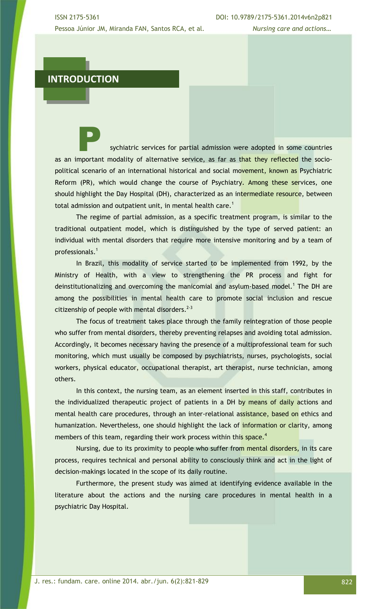### **INTRODUCTION**

sychiatric services for partial admission were adopted in some countries as an important modality of alternative service, as far as that they reflected the sociopolitical scenario of an international historical and social movement, known as Psychiatric Reform (PR), which would change the course of Psychiatry. Among these services, one should highlight the Day Hospital (DH), characterized as an intermediate resource, between total admission and outpatient unit, in mental health care.<sup>1</sup>

The regime of partial admission, as a specific treatment program, is similar to the traditional outpatient model, which is distinguished by the type of served patient: an individual with mental disorders that require more intensive monitoring and by a team of professionals.<sup>1</sup>

In Brazil, this modality of service started to be implemented from 1992, by the Ministry of Health, with a view to strengthening the PR process and fight for deinstitutionalizing and overcoming the manicomial and asylum-based model.<sup>1</sup> The DH are among the possibilities in mental health care to promote social inclusion and rescue citizenship of people with mental disorders. $2-3$ 

The focus of treatment takes place through the family reintegration of those people who suffer from mental disorders, thereby preventing relapses and avoiding total admission. Accordingly, it becomes necessary having the presence of a multiprofessional team for such monitoring, which must usually be composed by psychiatrists, nurses, psychologists, social workers, physical educator, occupational therapist, art therapist, nurse technician, among others.

In this context, the nursing team, as an element inserted in this staff, contributes in the individualized therapeutic project of patients in a DH by means of daily actions and mental health care procedures, through an inter-relational assistance, based on ethics and humanization. Nevertheless, one should highlight the lack of information or clarity, among members of this team, regarding their work process within this space.<sup>4</sup>

Nursing, due to its proximity to people who suffer from mental disorders, in its care process, requires technical and personal ability to consciously think and act in the light of decision-makings located in the scope of its daily routine.

Furthermore, the present study was aimed at identifying evidence available in the literature about the actions and the nursing care procedures in mental health in a psychiatric Day Hospital.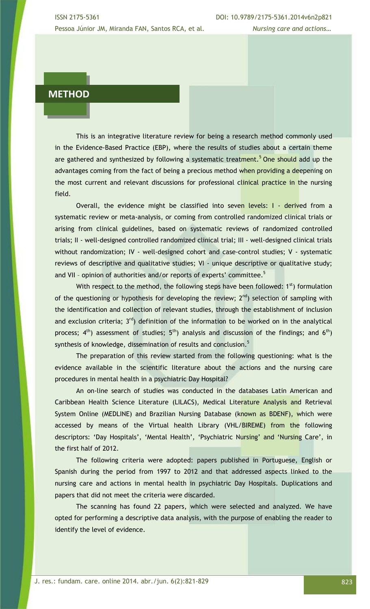## **METHOD**

This is an integrative literature review for being a research method commonly used in the Evidence-Based Practice (EBP), where the results of studies about a certain theme are gathered and synthesized by following a systematic treatment.<sup>5</sup> One should add up the advantages coming from the fact of being a precious method when providing a deepening on the most current and relevant discussions for professional clinical practice in the nursing field.

Overall, the evidence might be classified into seven levels: I - derived from a systematic review or meta-analysis, or coming from controlled randomized clinical trials or arising from clinical guidelines, based on systematic reviews of randomized controlled trials; II - well-designed controlled randomized clinical trial; III - well-designed clinical trials without randomization; IV - well-designed cohort and case-control studies; V - systematic reviews of descriptive and qualitative studies; VI - unique descriptive or qualitative study; and VII - opinion of authorities and/or reports of experts' committee.<sup>5</sup>

With respect to the method, the following steps have been followed:  $1<sup>st</sup>$ ) formulation of the questioning or hypothesis for developing the review;  $2^{nd}$ ) selection of sampling with the identification and collection of relevant studies, through the establishment of inclusion and exclusion criteria;  $3<sup>rd</sup>$ ) definition of the information to be worked on in the analytical process;  $4<sup>th</sup>$ ) assessment of studies;  $5<sup>th</sup>$ ) analysis and discussion of the findings; and  $6<sup>th</sup>$ ) synthesis of knowledge, dissemination of results and conclusion.<sup>5</sup>

The preparation of this review started from the following questioning: what is the evidence available in the scientific literature about the actions and the nursing care procedures in mental health in a psychiatric Day Hospital?

An on-line search of studies was conducted in the databases Latin American and Caribbean Health Science Literature (LILACS), Medical Literature Analysis and Retrieval System Online (MEDLINE) and Brazilian Nursing Database (known as BDENF), which were accessed by means of the Virtual health Library (VHL/BIREME) from the following descriptors: 'Day Hospitals', 'Mental Health', 'Psychiatric Nursing' and 'Nursing Care', in the first half of 2012.

The following criteria were adopted: papers published in Portuguese, English or Spanish during the period from 1997 to 2012 and that addressed aspects linked to the nursing care and actions in mental health in psychiatric Day Hospitals. Duplications and papers that did not meet the criteria were discarded.

The scanning has found 22 papers, which were selected and analyzed. We have opted for performing a descriptive data analysis, with the purpose of enabling the reader to identify the level of evidence.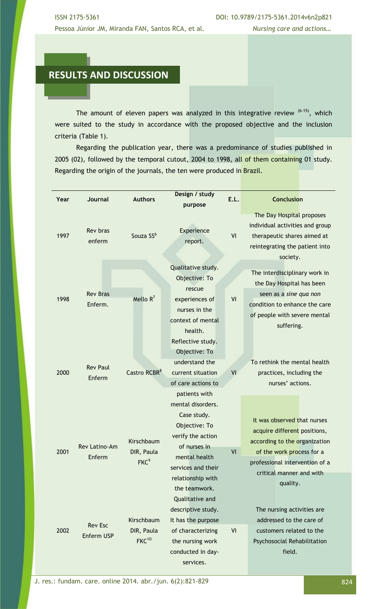# **RESULTS AND DISCUSSION**

The amount of eleven papers was analyzed in this integrative review  $(6-15)$ , which were suited to the study in accordance with the proposed objective and the inclusion criteria (Table 1).

Regarding the publication year, there was a predominance of studies published in 2005 (02), followed by the temporal cutout, 2004 to 1998, all of them containing 01 study. Regarding the origin of the journals, the ten were produced in Brazil.

| Year | <b>Journal</b>               | <b>Authors</b>                                | Design / study<br>purpose                                                                                                                      | E.L. | <b>Conclusion</b>                                                                                                                                                                                   |
|------|------------------------------|-----------------------------------------------|------------------------------------------------------------------------------------------------------------------------------------------------|------|-----------------------------------------------------------------------------------------------------------------------------------------------------------------------------------------------------|
| 1997 | <b>Rev bras</b><br>enferm    | Souza SS <sup>6</sup>                         | Experience<br>report.                                                                                                                          | VI   | The Day Hospital proposes<br>individual activities and group<br>therapeutic shares aimed at<br>reintegrating the patient into<br>society.                                                           |
| 1998 | <b>Rev Bras</b><br>Enferm.   | Mello $R^7$                                   | Qualitative study.<br>Objective: To<br>rescue<br>experiences of<br>nurses in the<br>context of mental<br>health.                               | VI   | The interdisciplinary work in<br>the Day Hospital has been<br>seen as a sine qua non<br>condition to enhance the care<br>of people with severe mental<br>suffering.                                 |
| 2000 | <b>Rev Paul</b><br>Enferm    | Castro RCBR <sup>8</sup>                      | Reflective study.<br>Objective: To<br>understand the<br>current situation<br>of care actions to<br>patients with<br>mental disorders.          | VI   | To rethink the mental health<br>practices, including the<br>nurses' actions.                                                                                                                        |
| 2001 | Rev Latino-Am<br>Enferm      | Kirschbaum<br>DIR, Paula<br>FKC <sup>9</sup>  | Case study.<br>Objective: To<br>verify the action<br>of nurses in<br>mental health<br>services and their<br>relationship with<br>the teamwork. | VI   | It was observed that nurses<br>acquire different positions,<br>according to the organization<br>of the work process for a<br>professional intervention of a<br>critical manner and with<br>quality. |
| 2002 | <b>Rev Esc</b><br>Enferm USP | Kirschbaum<br>DIR, Paula<br>FKC <sup>10</sup> | Qualitative and<br>descriptive study.<br>It has the purpose<br>of characterizing<br>the nursing work<br>conducted in day-<br>services.         | VI   | The nursing activities are<br>addressed to the care of<br>customers related to the<br>Psychosocial Rehabilitation<br>field.                                                                         |

J. res.: fundam. care. online 2014. abr./jun. 6(2):821-829 824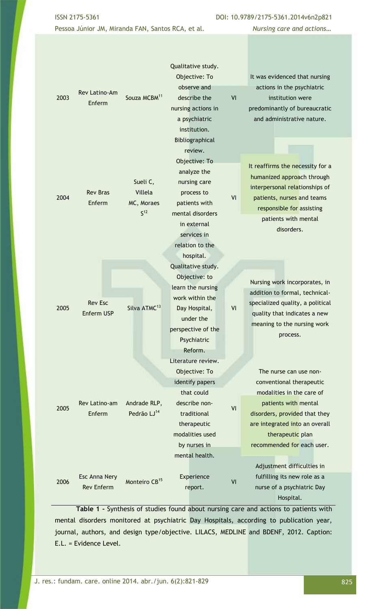ISSN 2175-5361 DOI: 10.9789/2175-5361.2014v6n2p821

Pessoa Júnior JM, Miranda FAN, Santos RCA, et al*. Nursing care and actions…*

| 2003 | Rev Latino-Am<br>Enferm            | Souza MCBM <sup>11</sup>                             | Qualitative study.<br>Objective: To<br>observe and<br>describe the<br>nursing actions in<br>a psychiatric<br>institution.<br>Bibliographical                             | VI | It was evidenced that nursing<br>actions in the psychiatric<br>institution were<br>predominantly of bureaucratic<br>and administrative nature.                                                                                                             |
|------|------------------------------------|------------------------------------------------------|--------------------------------------------------------------------------------------------------------------------------------------------------------------------------|----|------------------------------------------------------------------------------------------------------------------------------------------------------------------------------------------------------------------------------------------------------------|
| 2004 | <b>Rev Bras</b><br>Enferm          | Sueli C,<br>Villela<br>MC, Moraes<br>S <sup>12</sup> | review.<br>Objective: To<br>analyze the<br>nursing care<br>process to<br>patients with<br>mental disorders<br>in external<br>services in<br>relation to the<br>hospital. | VI | It reaffirms the necessity for a<br>humanized approach through<br>interpersonal relationships of<br>patients, nurses and teams<br>responsible for assisting<br>patients with mental<br>disorders.                                                          |
| 2005 | <b>Rev Esc</b><br>Enferm USP       | Silva ATMC <sup>13</sup>                             | Qualitative study.<br>Objective: to<br>learn the nursing<br>work within the<br>Day Hospital,<br>under the<br>perspective of the<br>Psychiatric<br>Reform.                | VI | Nursing work incorporates, in<br>addition to formal, technical-<br>specialized quality, a political<br>quality that indicates a new<br>meaning to the nursing work<br>process.                                                                             |
| 2005 | Rev Latino-am<br>Enferm            | Andrade RLP,<br>Pedrão LJ <sup>14</sup>              | Literature review.<br>Objective: To<br>identify papers<br>that could<br>describe non-<br>traditional<br>therapeutic<br>modalities used<br>by nurses in<br>mental health. | VI | The nurse can use non-<br>conventional therapeutic<br>modalities in the care of<br>patients with mental<br>disorders, provided that they<br>are integrated into an overall<br>therapeutic plan<br>recommended for each user.<br>Adjustment difficulties in |
| 2006 | Esc Anna Nery<br><b>Rev Enferm</b> | Monteiro CB <sup>15</sup>                            | Experience<br>report.                                                                                                                                                    | VI | fulfilling its new role as a<br>nurse of a psychiatric Day<br>Hospital.                                                                                                                                                                                    |

**Table 1 -** Synthesis of studies found about nursing care and actions to patients with mental disorders monitored at psychiatric Day Hospitals, according to publication year, journal, authors, and design type/objective. LILACS, MEDLINE and BDENF, 2012. Caption: E.L. = Evidence Level.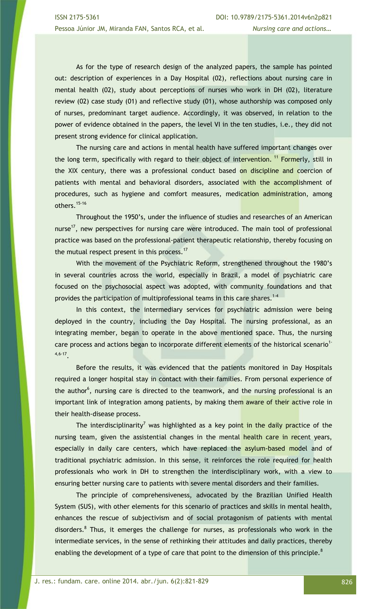As for the type of research design of the analyzed papers, the sample has pointed out: description of experiences in a Day Hospital (02), reflections about nursing care in mental health (02), study about perceptions of nurses who work in DH (02), literature review (02) case study (01) and reflective study (01), whose authorship was composed only of nurses, predominant target audience. Accordingly, it was observed, in relation to the power of evidence obtained in the papers, the level VI in the ten studies, i.e., they did not present strong evidence for clinical application.

The nursing care and actions in mental health have suffered important changes over the long term, specifically with regard to their object of intervention. <sup>11</sup> Formerly, still in the XIX century, there was a professional conduct based on discipline and coercion of patients with mental and behavioral disorders, associated with the accomplishment of procedures, such as hygiene and comfort measures, medication administration, among others.15-16

Throughout the 1950's, under the influence of studies and researches of an American nurse<sup>17</sup>, new perspectives for nursing care were introduced. The main tool of professional practice was based on the professional-patient therapeutic relationship, thereby focusing on the mutual respect present in this process. $17$ 

With the movement of the Psychiatric Reform, strengthened throughout the 1980's in several countries across the world, especially in Brazil, a model of psychiatric care focused on the psychosocial aspect was adopted, with community foundations and that provides the participation of multiprofessional teams in this care shares.<sup>1-4</sup>

In this context, the intermediary services for psychiatric admission were being deployed in the country, including the Day Hospital. The nursing professional, as an integrating member, began to operate in the above mentioned space. Thus, the nursing care process and actions began to incorporate different elements of the historical scenario<sup>1-</sup> 4,6-17 .

Before the results, it was evidenced that the patients monitored in Day Hospitals required a longer hospital stay in contact with their families. From personal experience of the author<sup>6</sup>, nursing care is directed to the teamwork, and the nursing professional is an important link of integration among patients, by making them aware of their active role in their health-disease process.

The interdisciplinarity<sup>7</sup> was highlighted as a key point in the daily practice of the nursing team, given the assistential changes in the mental health care in recent years, especially in daily care centers, which have replaced the asylum-based model and of traditional psychiatric admission. In this sense, it reinforces the role required for health professionals who work in DH to strengthen the interdisciplinary work, with a view to ensuring better nursing care to patients with severe mental disorders and their families.

The principle of comprehensiveness, advocated by the Brazilian Unified Health System (SUS), with other elements for this scenario of practices and skills in mental health, enhances the rescue of subjectivism and of social protagonism of patients with mental disorders.<sup>8</sup> Thus, it emerges the challenge for nurses, as professionals who work in the intermediate services, in the sense of rethinking their attitudes and daily practices, thereby enabling the development of a type of care that point to the dimension of this principle.<sup>8</sup>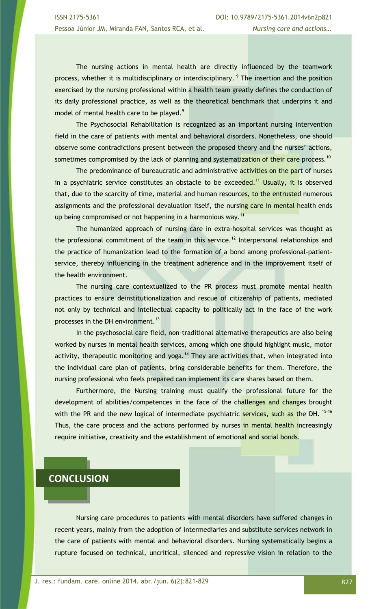The nursing actions in mental health are directly influenced by the teamwork process, whether it is multidisciplinary or interdisciplinary. <sup>9</sup> The insertion and the position exercised by the nursing professional within a health team greatly defines the conduction of its daily professional practice, as well as the theoretical benchmark that underpins it and model of mental health care to be played.<sup>9</sup>

The Psychosocial Rehabilitation is recognized as an important nursing intervention field in the care of patients with mental and behavioral disorders. Nonetheless, one should observe some contradictions present between the proposed theory and the nurses' actions, sometimes compromised by the lack of planning and systematization of their care process.<sup>10</sup>

The predominance of bureaucratic and administrative activities on the part of nurses in a psychiatric service constitutes an obstacle to be exceeded.<sup>11</sup> Usually, it is observed that, due to the scarcity of time, material and human resources, to the entrusted numerous assignments and the professional devaluation itself, the nursing care in mental health ends up being compromised or not happening in a harmonious way.<sup>11</sup>

The humanized approach of nursing care in extra-hospital services was thought as the professional commitment of the team in this service.<sup>12</sup> Interpersonal relationships and the practice of humanization lead to the formation of a bond among professional-patientservice, thereby influencing in the treatment adherence and in the improvement itself of the health environment.

The nursing care contextualized to the PR process must promote mental health practices to ensure deinstitutionalization and rescue of citizenship of patients, mediated not only by technical and intellectual capacity to politically act in the face of the work processes in the DH environment.<sup>13</sup>

In the psychosocial care field, non-traditional alternative therapeutics are also being worked by nurses in mental health services, among which one should highlight music, motor activity, therapeutic monitoring and yoga.<sup>14</sup> They are activities that, when integrated into the individual care plan of patients, bring considerable benefits for them. Therefore, the nursing professional who feels prepared can implement its care shares based on them.

Furthermore, the Nursing training must qualify the professional future for the development of abilities/competences in the face of the challenges and changes brought with the PR and the new logical of intermediate psychiatric services, such as the DH.<sup>15-16</sup> Thus, the care process and the actions performed by nurses in mental health increasingly require initiative, creativity and the establishment of emotional and social bonds.

## **CONCLUSION**

Nursing care procedures to patients with mental disorders have suffered changes in recent years, mainly from the adoption of intermediaries and substitute services network in the care of patients with mental and behavioral disorders. Nursing systematically begins a rupture focused on technical, uncritical, silenced and repressive vision in relation to the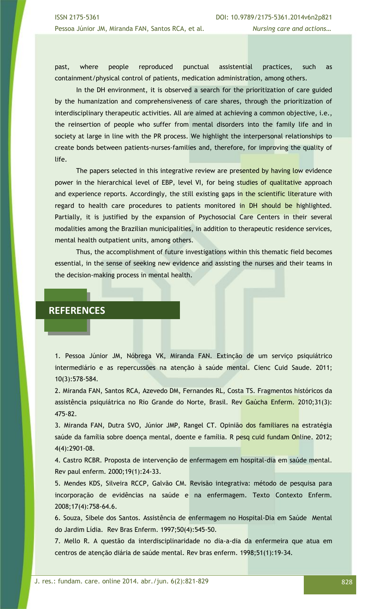past, where people reproduced punctual assistential practices, such as containment/physical control of patients, medication administration, among others.

In the DH environment, it is observed a search for the prioritization of care guided by the humanization and comprehensiveness of care shares, through the prioritization of interdisciplinary therapeutic activities. All are aimed at achieving a common objective, i.e., the reinsertion of people who suffer from mental disorders into the family life and in society at large in line with the PR process. We highlight the interpersonal relationships to create bonds between patients-nurses-families and, therefore, for improving the quality of life.

The papers selected in this integrative review are presented by having low evidence power in the hierarchical level of EBP, level VI, for being studies of qualitative approach and experience reports. Accordingly, the still existing gaps in the scientific literature with regard to health care procedures to patients monitored in DH should be highlighted. Partially, it is justified by the expansion of Psychosocial Care Centers in their several modalities among the Brazilian municipalities, in addition to therapeutic residence services, mental health outpatient units, among others.

Thus, the accomplishment of future investigations within this thematic field becomes essential, in the sense of seeking new evidence and assisting the nurses and their teams in the decision-making process in mental health.

## **REFERENCES**

1. Pessoa Júnior JM, Nóbrega VK, Miranda FAN. Extinção de um serviço psiquiátrico intermediário e as repercussões na atenção à saúde mental. Cienc Cuid Saude. 2011; 10(3):578-584.

2. Miranda FAN, Santos RCA, Azevedo DM, Fernandes RL, Costa TS. Fragmentos históricos da assistência psiquiátrica no Rio Grande do Norte, Brasil. Rev Gaúcha Enferm. 2010;31(3): 475-82.

3. Miranda FAN, Dutra SVO, Júnior JMP, Rangel CT. Opinião dos familiares na estratégia saúde da família sobre doença mental, doente e família. R pesq cuid fundam Online. 2012; 4(4):2901-08.

4. Castro RCBR. Proposta de intervenção de enfermagem em hospital-dia em saúde mental. Rev paul enferm. 2000;19(1):24-33.

5. Mendes KDS, Silveira RCCP, Galvão CM. Revisão integrativa: método de pesquisa para incorporação de evidências na saúde e na enfermagem. Texto Contexto Enferm. 2008;17(4):758-64.6.

6. Souza, Sibele dos Santos. Assistência de enfermagem no Hospital-Dia em Saúde Mental do Jardim Lídia. Rev Bras Enferm. 1997;50(4):545-50.

7. Mello R. A questão da interdisciplinaridade no dia-a-dia da enfermeira que atua em centros de atenção diária de saúde mental. Rev bras enferm. 1998;51(1):19-34.